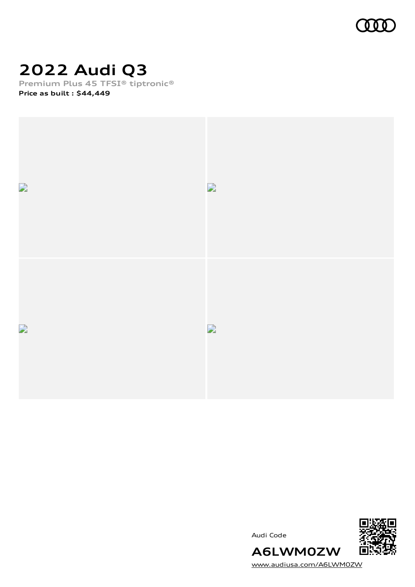

# **2022 Audi Q3**

**Premium Plus 45 TFSI® tiptronic®**

**Price as built [:](#page-10-0) \$44,449**



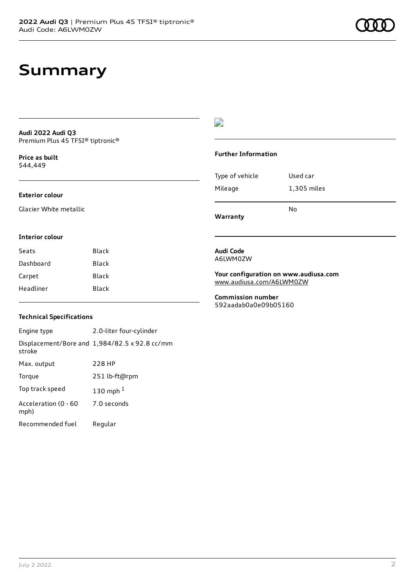### **Summary**

**Audi 2022 Audi Q3** Premium Plus 45 TFSI® tiptronic®

**Price as buil[t](#page-10-0)** \$44,449

#### **Exterior colour**

Glacier White metallic

#### D

#### **Further Information**

|                 | N٥          |
|-----------------|-------------|
| Mileage         | 1,305 miles |
| Type of vehicle | Used car    |

**Warranty**

#### **Interior colour**

| Black |
|-------|
| Black |
| Black |
| Black |
|       |

### **Audi Code** A6LWM0ZW

**Your configuration on www.audiusa.com** [www.audiusa.com/A6LWM0ZW](https://www.audiusa.com/A6LWM0ZW)

**Commission number** 592aadab0a0e09b05160

#### **Technical Specifications**

Engine type 2.0-liter four-cylinder Displacement/Bore and 1,984/82.5 x 92.8 cc/mm stroke Max. output 228 HP Torque 251 lb-ft@rpm Top track speed [1](#page-10-0)30 mph $<sup>1</sup>$ </sup> Acceleration (0 - 60 mph) 7.0 seconds Recommended fuel Regular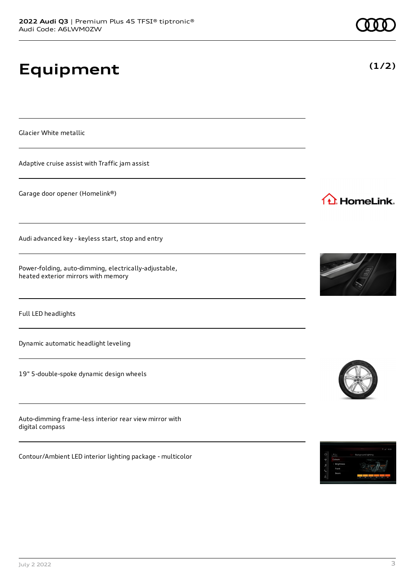# **Equipment**

Glacier White metallic

Adaptive cruise assist with Traffic jam assist

Garage door opener (Homelink®)

Audi advanced key - keyless start, stop and entry

Power-folding, auto-dimming, electrically-adjustable, heated exterior mirrors with memory

Full LED headlights

Dynamic automatic headlight leveling

19" 5-double-spoke dynamic design wheels

Auto-dimming frame-less interior rear view mirror with digital compass

Contour/Ambient LED interior lighting package - multicolor



1<sup>1</sup> HomeLink.





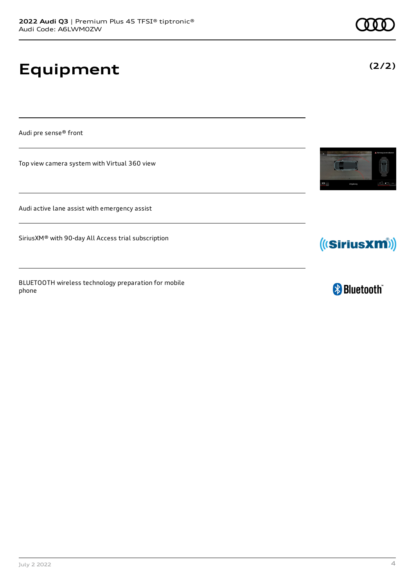# **Equipment**

Audi pre sense® front

Top view camera system with Virtual 360 view

Audi active lane assist with emergency assist

SiriusXM® with 90-day All Access trial subscription

BLUETOOTH wireless technology preparation for mobile phone





**& Bluetooth**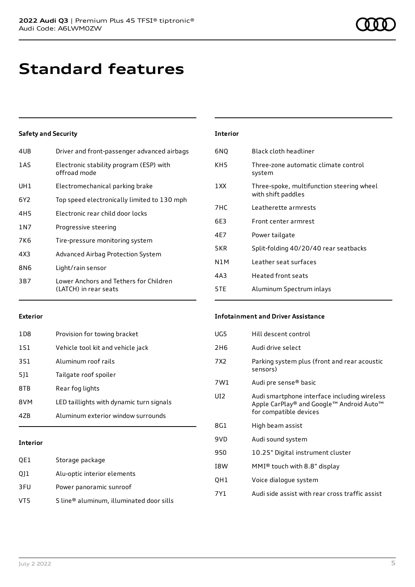# **Standard features**

### **Safety and Security**

| 4UB   | Driver and front-passenger advanced airbags                     |
|-------|-----------------------------------------------------------------|
| 1AS   | Electronic stability program (ESP) with<br>offroad mode         |
| UH1   | Electromechanical parking brake                                 |
| 6Y2   | Top speed electronically limited to 130 mph                     |
| 4H5   | Electronic rear child door locks                                |
| 1 N 7 | Progressive steering                                            |
| 7K6   | Tire-pressure monitoring system                                 |
| 4X3   | Advanced Airbag Protection System                               |
| 8N6   | Light/rain sensor                                               |
| 3B7   | Lower Anchors and Tethers for Children<br>(LATCH) in rear seats |
|       |                                                                 |

### **Interior** 6NQ Black cloth headliner KH5 Three-zone automatic climate control system 1XX Three-spoke, multifunction steering wheel with shift paddles 7HC Leatherette armrests 6E3 Front center armrest 4E7 Power tailgate 5KR Split-folding 40/20/40 rear seatbacks N1M Leather seat surfaces 4A3 Heated front seats 5TE Aluminum Spectrum inlays

#### **Exterior**

| 1 D.B | Provision for towing bracket             |
|-------|------------------------------------------|
| 1S1   | Vehicle tool kit and vehicle jack        |
| 3S1   | Aluminum roof rails                      |
| 511   | Tailgate roof spoiler                    |
| 8TB   | Rear fog lights                          |
| 8VM   | LED taillights with dynamic turn signals |
| 47R   | Aluminum exterior window surrounds       |
|       |                                          |

#### **Interior**

| QE1 | Storage package                          |
|-----|------------------------------------------|
| Q11 | Alu-optic interior elements              |
| 3FU | Power panoramic sunroof                  |
| VT5 | S line® aluminum, illuminated door sills |

#### **Infotainment and Driver Assistance**

| UG5 | Hill descent control                                                                                               |
|-----|--------------------------------------------------------------------------------------------------------------------|
| 2H6 | Audi drive select                                                                                                  |
| 7X2 | Parking system plus (front and rear acoustic<br>sensors)                                                           |
| 7W1 | Audi pre sense® basic                                                                                              |
| UD. | Audi smartphone interface including wireless<br>Apple CarPlay® and Google™ Android Auto™<br>for compatible devices |
| 8G1 | High beam assist                                                                                                   |
| 9VD | Audi sound system                                                                                                  |
| 9S0 | 10.25" Digital instrument cluster                                                                                  |
|     |                                                                                                                    |
| I8W | $MMI®$ touch with 8.8" display                                                                                     |
| QH1 | Voice dialogue system                                                                                              |
| 7Y1 | Audi side assist with rear cross traffic assist                                                                    |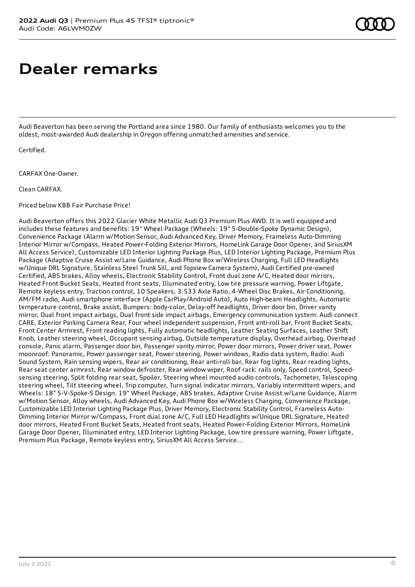# **Dealer remarks**

Audi Beaverton has been serving the Portland area since 1980. Our family of enthusiasts welcomes you to the oldest, most-awarded Audi dealership in Oregon offering unmatched amenities and service.

Certified.

CARFAX One-Owner.

Clean CARFAX.

Priced below KBB Fair Purchase Price!

Audi Beaverton offers this 2022 Glacier White Metallic Audi Q3 Premium Plus AWD. It is well equipped and includes these features and benefits: 19" Wheel Package (Wheels: 19" 5-Double-Spoke Dynamic Design), Convenience Package (Alarm w/Motion Sensor, Audi Advanced Key, Driver Memory, Frameless Auto-Dimming Interior Mirror w/Compass, Heated Power-Folding Exterior Mirrors, HomeLink Garage Door Opener, and SiriusXM All Access Service), Customizable LED Interior Lighting Package Plus, LED Interior Lighting Package, Premium Plus Package (Adaptive Cruise Assist w/Lane Guidance, Audi Phone Box w/Wireless Charging, Full LED Headlights w/Unique DRL Signature, Stainless Steel Trunk Sill, and Topview Camera System), Audi Certified pre-owned Certified, ABS brakes, Alloy wheels, Electronic Stability Control, Front dual zone A/C, Heated door mirrors, Heated Front Bucket Seats, Heated front seats, Illuminated entry, Low tire pressure warning, Power Liftgate, Remote keyless entry, Traction control, 10 Speakers, 3.533 Axle Ratio, 4-Wheel Disc Brakes, Air Conditioning, AM/FM radio, Audi smartphone interface (Apple CarPlay/Android Auto), Auto High-beam Headlights, Automatic temperature control, Brake assist, Bumpers: body-color, Delay-off headlights, Driver door bin, Driver vanity mirror, Dual front impact airbags, Dual front side impact airbags, Emergency communication system: Audi connect CARE, Exterior Parking Camera Rear, Four wheel independent suspension, Front anti-roll bar, Front Bucket Seats, Front Center Armrest, Front reading lights, Fully automatic headlights, Leather Seating Surfaces, Leather Shift Knob, Leather steering wheel, Occupant sensing airbag, Outside temperature display, Overhead airbag, Overhead console, Panic alarm, Passenger door bin, Passenger vanity mirror, Power door mirrors, Power driver seat, Power moonroof: Panoramic, Power passenger seat, Power steering, Power windows, Radio data system, Radio: Audi Sound System, Rain sensing wipers, Rear air conditioning, Rear anti-roll bar, Rear fog lights, Rear reading lights, Rear seat center armrest, Rear window defroster, Rear window wiper, Roof rack: rails only, Speed control, Speedsensing steering, Split folding rear seat, Spoiler, Steering wheel mounted audio controls, Tachometer, Telescoping steering wheel, Tilt steering wheel, Trip computer, Turn signal indicator mirrors, Variably intermittent wipers, and Wheels: 18" 5-V-Spoke-S Design. 19" Wheel Package, ABS brakes, Adaptive Cruise Assist w/Lane Guidance, Alarm w/Motion Sensor, Alloy wheels, Audi Advanced Key, Audi Phone Box w/Wireless Charging, Convenience Package, Customizable LED Interior Lighting Package Plus, Driver Memory, Electronic Stability Control, Frameless Auto-Dimming Interior Mirror w/Compass, Front dual zone A/C, Full LED Headlights w/Unique DRL Signature, Heated door mirrors, Heated Front Bucket Seats, Heated front seats, Heated Power-Folding Exterior Mirrors, HomeLink Garage Door Opener, Illuminated entry, LED Interior Lighting Package, Low tire pressure warning, Power Liftgate, Premium Plus Package, Remote keyless entry, SiriusXM All Access Service...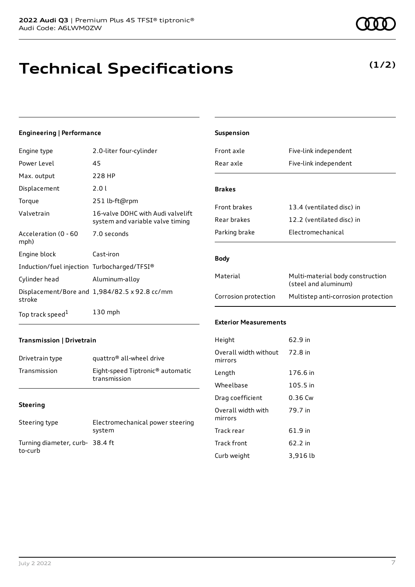# **Technical Specifications**

#### **Engineering | Performance**

| Engine type                                 | 2.0-liter four-cylinder                                               |
|---------------------------------------------|-----------------------------------------------------------------------|
| Power Level                                 | 45                                                                    |
| Max. output                                 | 228 HP                                                                |
| Displacement                                | 2.0 L                                                                 |
| Torque                                      | 251 lb-ft@rpm                                                         |
| Valvetrain                                  | 16-valve DOHC with Audi valvelift<br>system and variable valve timing |
| Acceleration (0 - 60<br>mph)                | 7.0 seconds                                                           |
| Engine block                                | Cast-iron                                                             |
| Induction/fuel injection Turbocharged/TFSI® |                                                                       |
| Cylinder head                               | Aluminum-alloy                                                        |
| stroke                                      | Displacement/Bore and $1,984/82.5 \times 92.8$ cc/mm                  |
| Top track speed <sup>1</sup>                | $130$ mph                                                             |

| Suspension                       |                                                          |
|----------------------------------|----------------------------------------------------------|
| Front axle                       | Five-link independent                                    |
| Rear axle                        | Five-link independent                                    |
| <b>Brakes</b>                    |                                                          |
| <b>Front brakes</b>              | 13.4 (ventilated disc) in                                |
| Rear brakes                      | 12.2 (ventilated disc) in                                |
| Parking brake                    | Flectromechanical                                        |
| <b>Body</b>                      |                                                          |
| Material                         | Multi-material body construction<br>(steel and aluminum) |
| Corrosion protection             | Multistep anti-corrosion protection                      |
| <b>Exterior Measurements</b>     |                                                          |
| Height                           | 62.9 in                                                  |
| Overall width without<br>mirrors | 72.8 in                                                  |
| Length                           | 176.6 in                                                 |
| Wheelbase                        | 105.5 in                                                 |
| Drag coefficient                 | 0.36 Cw                                                  |
| Overall width with<br>mirrors    | 79.7 in                                                  |

### **Transmission | Drivetrain**

| Drivetrain type | quattro <sup>®</sup> all-wheel drive                         |
|-----------------|--------------------------------------------------------------|
| Transmission    | Eight-speed Tiptronic <sup>®</sup> automatic<br>transmission |

#### **Steering**

| Steering type                              | Electromechanical power steering<br>system |
|--------------------------------------------|--------------------------------------------|
| Turning diameter, curb- 38.4 ft<br>to-curb |                                            |

### Track rear 61.9 in Track front 62.2 in Curb weight 3,916 lb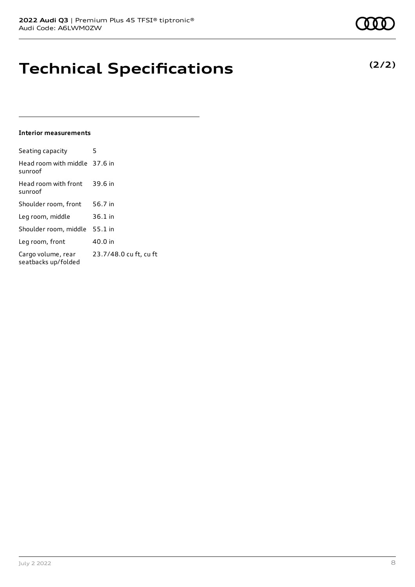### **Technical Specifications**

#### **Interior measurements**

| Seating capacity                          | 5                      |
|-------------------------------------------|------------------------|
| Head room with middle 37.6 in<br>sunroof  |                        |
| Head room with front<br>sunroof           | 39.6 in                |
| Shoulder room, front                      | 56.7 in                |
| Leg room, middle                          | 36.1 in                |
| Shoulder room, middle                     | 55.1 in                |
| Leg room, front                           | 40.0 in                |
| Cargo volume, rear<br>seatbacks up/folded | 23.7/48.0 cu ft, cu ft |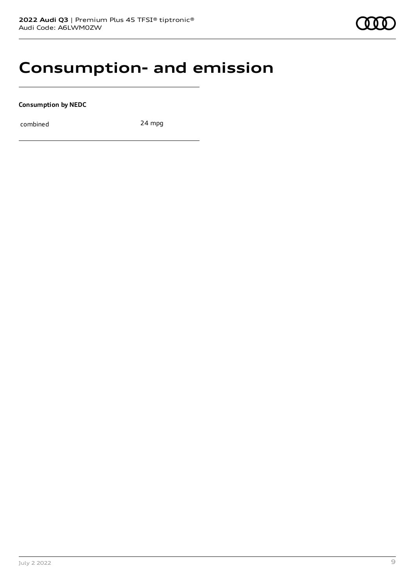### **Consumption- and emission**

**Consumption by NEDC**

combined 24 mpg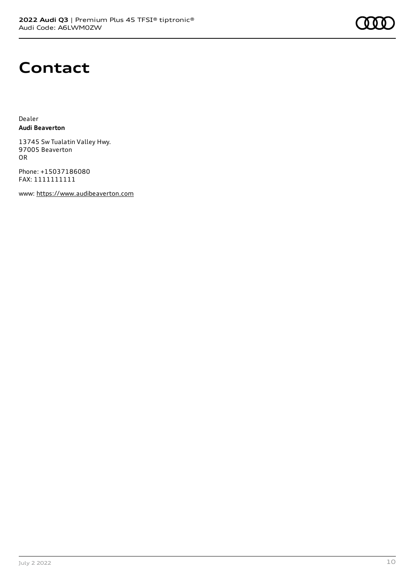

### **Contact**

Dealer **Audi Beaverton**

13745 Sw Tualatin Valley Hwy. 97005 Beaverton OR

Phone: +15037186080 FAX: 1111111111

www: [https://www.audibeaverton.com](https://www.audibeaverton.com/)